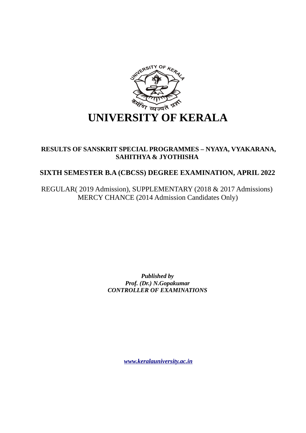

## **RESULTS OF SANSKRIT SPECIAL PROGRAMMES – NYAYA, VYAKARANA, SAHITHYA & JYOTHISHA**

# **SIXTH SEMESTER B.A (CBCSS) DEGREE EXAMINATION, APRIL 2022**

REGULAR( 2019 Admission), SUPPLEMENTARY (2018 & 2017 Admissions) MERCY CHANCE (2014 Admission Candidates Only)

> *Published by Prof. (Dr.) N.Gopakumar CONTROLLER OF EXAMINATIONS*

> > *[www.keralauniversity.ac.in](http://www.keralauniversity.ac.in/)*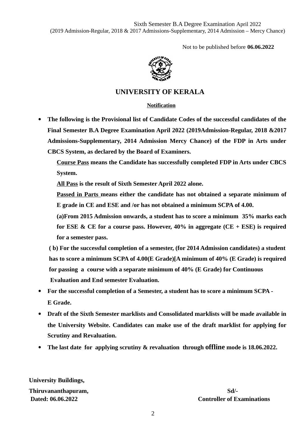Not to be published before **06.06.2022**



### **UNIVERSITY OF KERALA**

### **Notification**

 **The following is the Provisional list of Candidate Codes of the successful candidates of the Final Semester B.A Degree Examination April 2022 (2019Admission-Regular, 2018 &2017 Admissions-Supplementary, 2014 Admission Mercy Chance) of the FDP in Arts under CBCS System, as declared by the Board of Examiners.**

**Course Pass means the Candidate has successfully completed FDP in Arts under CBCS System.**

**All Pass is the result of Sixth Semester April 2022 alone.**

**Passed in Parts means either the candidate has not obtained a separate minimum of E grade in CE and ESE and /or has not obtained a minimum SCPA of 4.00.**

**(a)From 2015 Admission onwards, a student has to score a minimum 35% marks each for ESE & CE for a course pass. However, 40% in aggregate (CE + ESE) is required for a semester pass.**

 **( b) For the successful completion of a semester, (for 2014 Admission candidates) a student has to score a minimum SCPA of 4.00(E Grade)[A minimum of 40% (E Grade) is required for passing a course with a separate minimum of 40% (E Grade) for Continuous Evaluation and End semester Evaluation.**

- **For the successful completion of a Semester, a student has to score a minimum SCPA - E Grade.**
- **Draft of the Sixth Semester marklists and Consolidated marklists will be made available in the University Website. Candidates can make use of the draft marklist for applying for Scrutiny and Revaluation.**
- **The last date for applying scrutiny & revaluation through offline mode is 18.06.2022.**

**University Buildings,** 

**Thiruvananthapuram, Sd/-**

**Dated: 06.06.2022 Controller of Examinations**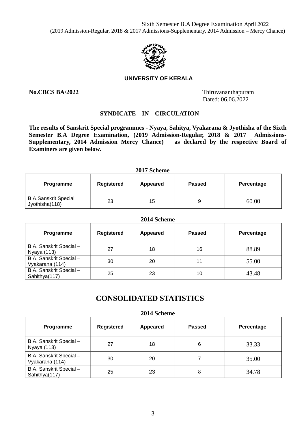

### **UNIVERSITY OF KERALA**

**No.CBCS BA/2022** Thiruvananthapuram Dated: 06.06.2022

### **SYNDICATE – IN – CIRCULATION**

**The results of Sanskrit Special programmes - Nyaya, Sahitya, Vyakarana & Jyothisha of the Sixth Semester B.A Degree Examination, (2019 Admission-Regular, 2018 & 2017 Admissions-Supplementary, 2014 Admission Mercy Chance) as declared by the respective Board of Examiners are given below.**

| 2017 Scheme                                   |            |          |               |            |
|-----------------------------------------------|------------|----------|---------------|------------|
| Programme                                     | Registered | Appeared | <b>Passed</b> | Percentage |
| <b>B.A.Sanskrit Special</b><br>Jyothisha(118) | 23         | 15       | 9             | 60.00      |

| 2014 Scheme                                |            |                 |               |            |  |
|--------------------------------------------|------------|-----------------|---------------|------------|--|
| <b>Programme</b>                           | Registered | <b>Appeared</b> | <b>Passed</b> | Percentage |  |
| B.A. Sanskrit Special -<br>Nyaya (113)     | 27         | 18              | 16            | 88.89      |  |
| B.A. Sanskrit Special -<br>Vyakarana (114) | 30         | 20              | 11            | 55.00      |  |
| B.A. Sanskrit Special -<br>Sahithya(117)   | 25         | 23              | 10            | 43.48      |  |

# **CONSOLIDATED STATISTICS**

#### **2014 Scheme**

| Programme                                  | <b>Registered</b> | Appeared | Passed | Percentage |
|--------------------------------------------|-------------------|----------|--------|------------|
| B.A. Sanskrit Special -<br>Nyaya (113)     | 27                | 18       | 6      | 33.33      |
| B.A. Sanskrit Special -<br>Vyakarana (114) | 30                | 20       |        | 35.00      |
| B.A. Sanskrit Special -<br>Sahithya(117)   | 25                | 23       | 8      | 34.78      |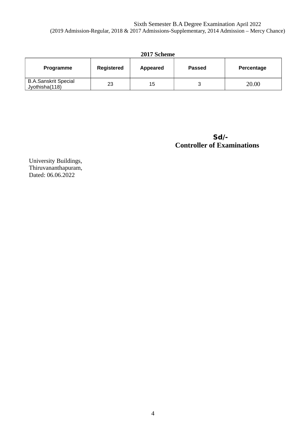### Sixth Semester B.A Degree Examination April 2022 (2019 Admission-Regular, 2018 & 2017 Admissions-Supplementary, 2014 Admission – Mercy Chance)

| 2017 Scheme                                   |            |    |               |            |  |
|-----------------------------------------------|------------|----|---------------|------------|--|
| Programme                                     | Registered |    | <b>Passed</b> | Percentage |  |
| <b>B.A.Sanskrit Special</b><br>Jyothisha(118) | 23         | 15 |               | 20.00      |  |

 **Sd/- Controller of Examinations** 

University Buildings, Thiruvananthapuram, Dated: 06.06.2022